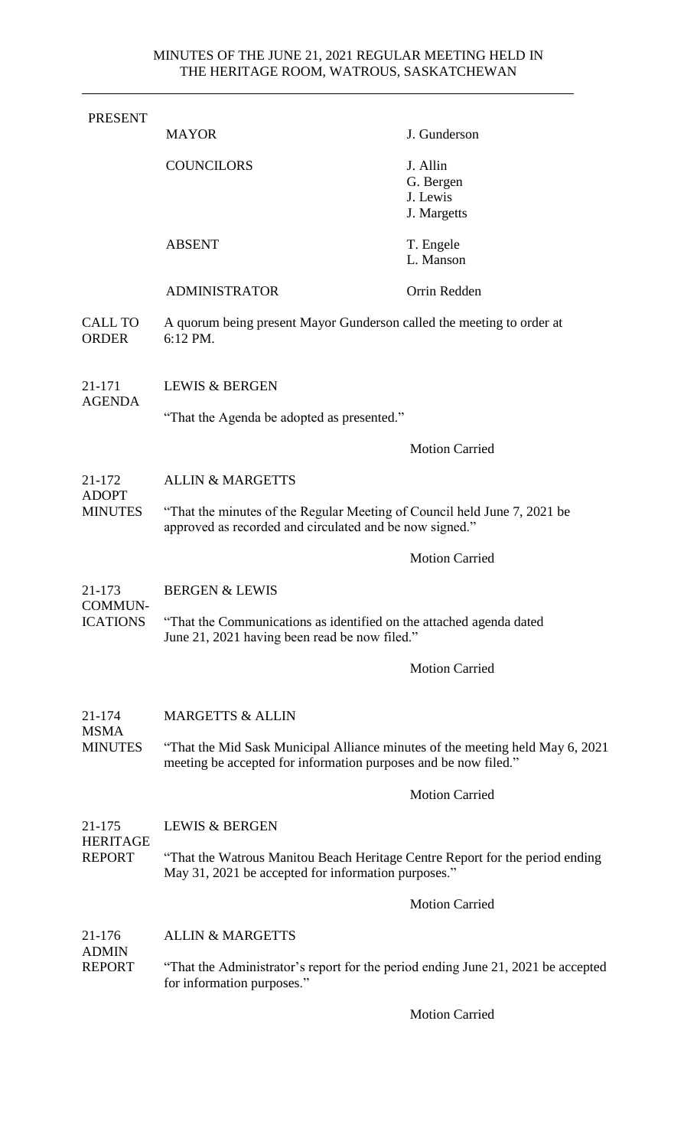| <b>PRESENT</b>                           | <b>MAYOR</b>                                                                                                                                     | J. Gunderson            |  |
|------------------------------------------|--------------------------------------------------------------------------------------------------------------------------------------------------|-------------------------|--|
|                                          | <b>COUNCILORS</b>                                                                                                                                | J. Allin                |  |
|                                          |                                                                                                                                                  | G. Bergen               |  |
|                                          |                                                                                                                                                  | J. Lewis<br>J. Margetts |  |
|                                          | <b>ABSENT</b>                                                                                                                                    | T. Engele               |  |
|                                          |                                                                                                                                                  | L. Manson               |  |
|                                          | <b>ADMINISTRATOR</b>                                                                                                                             | Orrin Redden            |  |
| <b>CALL TO</b><br><b>ORDER</b>           | A quorum being present Mayor Gunderson called the meeting to order at<br>6:12 PM.                                                                |                         |  |
| 21-171<br><b>AGENDA</b>                  | <b>LEWIS &amp; BERGEN</b>                                                                                                                        |                         |  |
|                                          | "That the Agenda be adopted as presented."                                                                                                       |                         |  |
|                                          |                                                                                                                                                  | <b>Motion Carried</b>   |  |
| 21-172<br><b>ADOPT</b><br><b>MINUTES</b> | <b>ALLIN &amp; MARGETTS</b>                                                                                                                      |                         |  |
|                                          | "That the minutes of the Regular Meeting of Council held June 7, 2021 be<br>approved as recorded and circulated and be now signed."              |                         |  |
|                                          |                                                                                                                                                  | <b>Motion Carried</b>   |  |
| 21-173<br>COMMUN-<br><b>ICATIONS</b>     | <b>BERGEN &amp; LEWIS</b>                                                                                                                        |                         |  |
|                                          | "That the Communications as identified on the attached agenda dated<br>June 21, 2021 having been read be now filed."                             |                         |  |
|                                          |                                                                                                                                                  | <b>Motion Carried</b>   |  |
| 21-174<br>MSMA<br><b>MINUTES</b>         | <b>MARGETTS &amp; ALLIN</b>                                                                                                                      |                         |  |
|                                          | "That the Mid Sask Municipal Alliance minutes of the meeting held May 6, 2021<br>meeting be accepted for information purposes and be now filed." |                         |  |
|                                          |                                                                                                                                                  | <b>Motion Carried</b>   |  |
| 21-175<br>HERITAGE<br><b>REPORT</b>      | <b>LEWIS &amp; BERGEN</b>                                                                                                                        |                         |  |
|                                          | "That the Watrous Manitou Beach Heritage Centre Report for the period ending<br>May 31, 2021 be accepted for information purposes."              |                         |  |
|                                          |                                                                                                                                                  | <b>Motion Carried</b>   |  |
| 21-176<br><b>ADMIN</b><br><b>REPORT</b>  | <b>ALLIN &amp; MARGETTS</b>                                                                                                                      |                         |  |
|                                          | "That the Administrator's report for the period ending June 21, 2021 be accepted<br>for information purposes."                                   |                         |  |

Motion Carried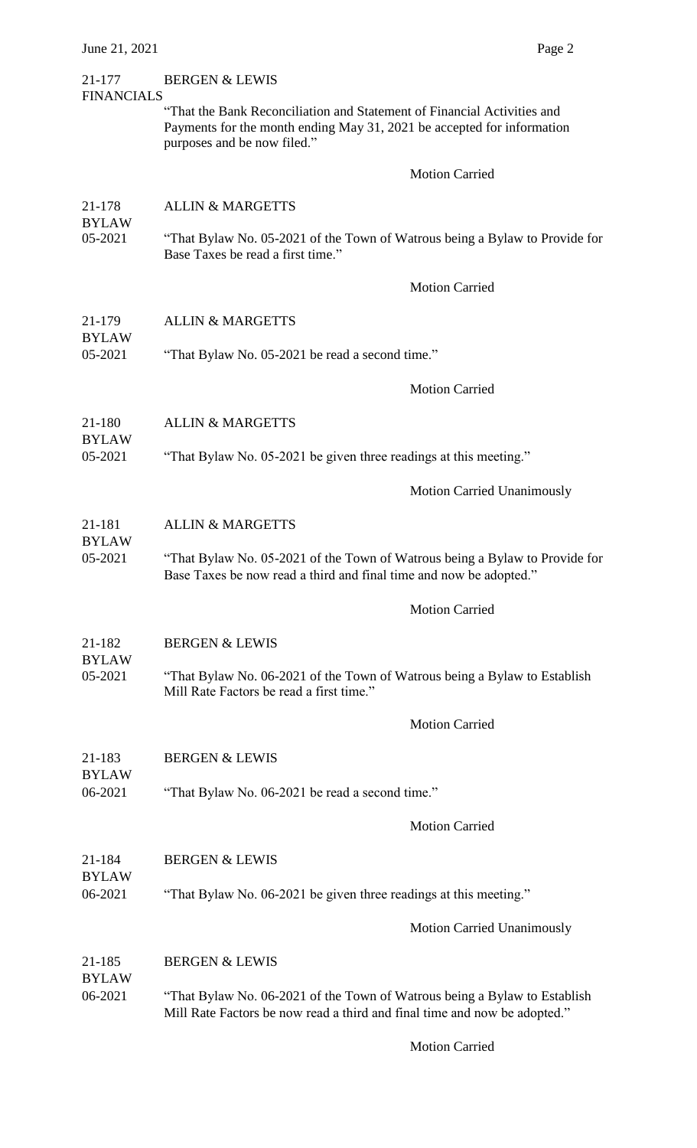### 21-177 BERGEN & LEWIS

FINANCIALS "That the Bank Reconciliation and Statement of Financial Activities and Payments for the month ending May 31, 2021 be accepted for information purposes and be now filed."

Motion Carried

# 21-178 ALLIN & MARGETTS BYLAW 05-2021 "That Bylaw No. 05-2021 of the Town of Watrous being a Bylaw to Provide for Base Taxes be read a first time."

Motion Carried

- 21-179 ALLIN & MARGETTS
- BYLAW 05-2021 "That Bylaw No. 05-2021 be read a second time."

Motion Carried

21-180 ALLIN & MARGETTS

BYLAW

BYLAW

BYLAW

BYLAW

BYLAW

05-2021 "That Bylaw No. 05-2021 be given three readings at this meeting."

Motion Carried Unanimously

### 21-181 ALLIN & MARGETTS

05-2021 "That Bylaw No. 05-2021 of the Town of Watrous being a Bylaw to Provide for Base Taxes be now read a third and final time and now be adopted."

Motion Carried

#### 21-182 BERGEN & LEWIS

05-2021 "That Bylaw No. 06-2021 of the Town of Watrous being a Bylaw to Establish Mill Rate Factors be read a first time."

Motion Carried

- 21-183 BERGEN & LEWIS
- 06-2021 "That Bylaw No. 06-2021 be read a second time."

Motion Carried

- 21-184 BERGEN & LEWIS
- 06-2021 "That Bylaw No. 06-2021 be given three readings at this meeting."

Motion Carried Unanimously

21-185 BERGEN & LEWIS

BYLAW

06-2021 "That Bylaw No. 06-2021 of the Town of Watrous being a Bylaw to Establish Mill Rate Factors be now read a third and final time and now be adopted."